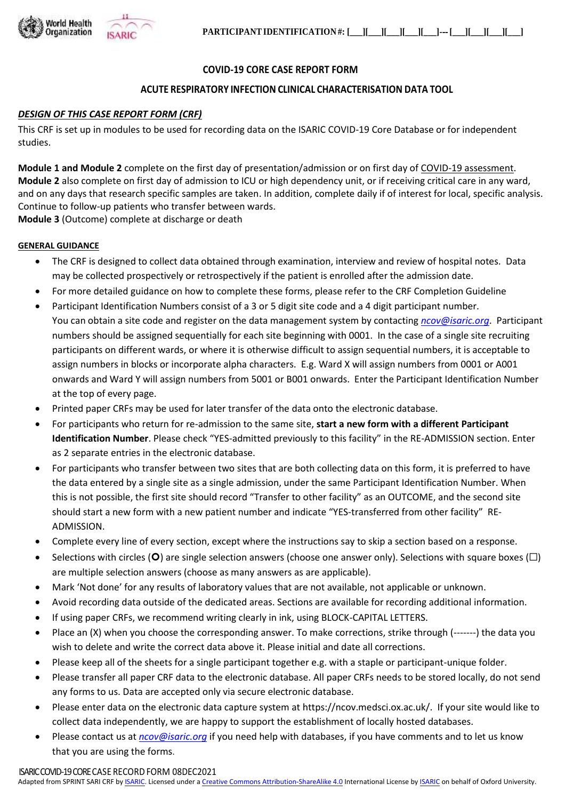

### **COVID-19 CORE CASE REPORT FORM**

#### **ACUTE RESPIRATORY INFECTION CLINICAL CHARACTERISATION DATA TOOL**

#### *DESIGN OF THIS CASE REPORT FORM (CRF)*

This CRF is set up in modules to be used for recording data on the ISARIC COVID-19 Core Database or for independent studies.

**Module 1 and Module 2** complete on the first day of presentation/admission or on first day of COVID-19 assessment. **Module 2** also complete on first day of admission to ICU or high dependency unit, or if receiving critical care in any ward, and on any days that research specific samples are taken. In addition, complete daily if of interest for local, specific analysis. Continue to follow-up patients who transfer between wards.

**Module 3** (Outcome) complete at discharge or death

#### **GENERAL GUIDANCE**

- The CRF is designed to collect data obtained through examination, interview and review of hospital notes. Data may be collected prospectively or retrospectively if the patient is enrolled after the admission date.
- For more detailed guidance on how to complete these forms, please refer to the CRF Completion Guideline
- Participant Identification Numbers consist of a 3 or 5 digit site code and a 4 digit participant number. You can obtain a site code and register on the data management system by contacting *ncov@isaric.org*. Participant numbers should be assigned sequentially for each site beginning with 0001. In the case of a single site recruiting participants on different wards, or where it is otherwise difficult to assign sequential numbers, it is acceptable to assign numbers in blocks or incorporate alpha characters. E.g. Ward X will assign numbers from 0001 or A001 onwards and Ward Y will assign numbers from 5001 or B001 onwards. Enter the Participant Identification Number at the top of every page.
- Printed paper CRFs may be used for later transfer of the data onto the electronic database.
- For participants who return for re-admission to the same site, **start a new form with a different Participant Identification Number**. Please check "YES-admitted previously to this facility" in the RE-ADMISSION section. Enter as 2 separate entries in the electronic database.
- For participants who transfer between two sites that are both collecting data on this form, it is preferred to have the data entered by a single site as a single admission, under the same Participant Identification Number. When this is not possible, the first site should record "Transfer to other facility" as an OUTCOME, and the second site should start a new form with a new patient number and indicate "YES-transferred from other facility" RE-ADMISSION.
- Complete every line of every section, except where the instructions say to skip a section based on a response.
- Selections with circles (O) are single selection answers (choose one answer only). Selections with square boxes ( $\Box$ ) are multiple selection answers (choose as many answers as are applicable).
- Mark 'Not done' for any results of laboratory values that are not available, not applicable or unknown.
- Avoid recording data outside of the dedicated areas. Sections are available for recording additional information.
- If using paper CRFs, we recommend writing clearly in ink, using BLOCK-CAPITAL LETTERS.
- Place an (X) when you choose the corresponding answer. To make corrections, strike through (-------) the data you wish to delete and write the correct data above it. Please initial and date all corrections.
- Please keep all of the sheets for a single participant together e.g. with a staple or participant-unique folder.
- Please transfer all paper CRF data to the electronic database. All paper CRFs needs to be stored locally, do not send any forms to us. Data are accepted only via secure electronic database.
- Please enter data on the electronic data capture system at https://ncov.medsci.ox.ac.uk/. If your site would like to collect data independently, we are happy to support the establishment of locally hosted databases.
- Please contact us at *[ncov@isaric.org](mailto:ncov@isaric.org)* if you need help with databases, if you have comments and to let us know that you are using the forms.

ISARIC COVID-19 CORE CASE RECORD FORM 08DEC2021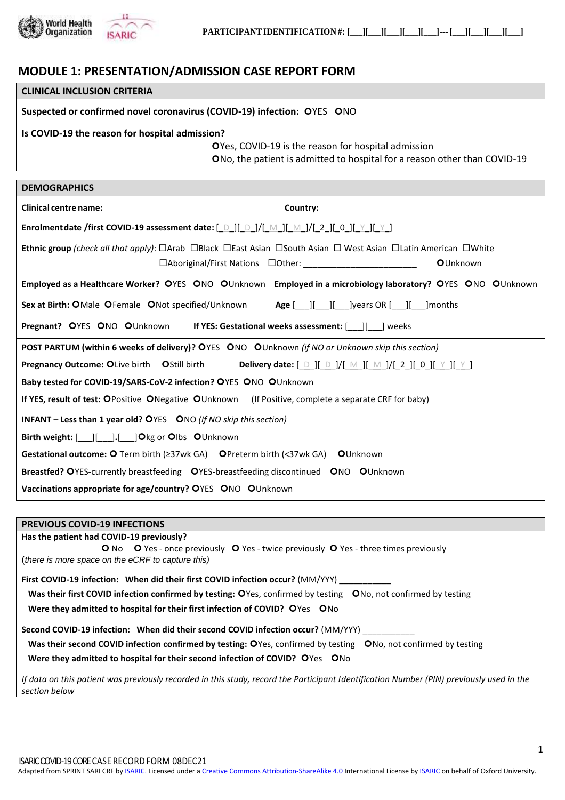

## **MODULE 1: PRESENTATION/ADMISSION CASE REPORT FORM**

| <b>CLINICAL INCLUSION CRITERIA</b>                                        |                                                                                                                |
|---------------------------------------------------------------------------|----------------------------------------------------------------------------------------------------------------|
| Suspected or confirmed novel coronavirus (COVID-19) infection: OYES ONO   |                                                                                                                |
| Is COVID-19 the reason for hospital admission?                            |                                                                                                                |
|                                                                           | OYes, COVID-19 is the reason for hospital admission                                                            |
|                                                                           | ONo, the patient is admitted to hospital for a reason other than COVID-19                                      |
|                                                                           |                                                                                                                |
| <b>DEMOGRAPHICS</b>                                                       |                                                                                                                |
|                                                                           |                                                                                                                |
|                                                                           | Enrolment date /first COVID-19 assessment date: [_D_][_D_]/[_M_][_M_]/[_2_][_0_][_Y_][_Y_]                     |
|                                                                           | Ethnic group (check all that apply): □Arab □Black □East Asian □South Asian □ West Asian □Latin American □White |
|                                                                           | <b>O</b> Unknown                                                                                               |
|                                                                           | Employed as a Healthcare Worker? OYES ONO OUnknown Employed in a microbiology laboratory? OYES ONO OUnknown    |
| Sex at Birth: OMale OFemale ONot specified/Unknown                        |                                                                                                                |
|                                                                           |                                                                                                                |
|                                                                           | POST PARTUM (within 6 weeks of delivery)? OYES ONO OUnknown (if NO or Unknown skip this section)               |
| <b>Pregnancy Outcome: OLive birth OStill birth</b>                        | <b>Delivery date:</b> [ <u>D</u> ][ D ]/[ M ][ M ]/[ 2 ][ 0 ][ Y ][ Y ]                                        |
| Baby tested for COVID-19/SARS-CoV-2 infection? OYES ONO OUnknown          |                                                                                                                |
|                                                                           | If YES, result of test: OPositive ONegative OUnknown (If Positive, complete a separate CRF for baby)           |
| <b>INFANT - Less than 1 year old? O</b> YES ONO (If NO skip this section) |                                                                                                                |
|                                                                           |                                                                                                                |
|                                                                           | Gestational outcome: O Term birth (≥37wk GA) OPreterm birth (<37wk GA) OUnknown                                |
|                                                                           | Breastfed? OYES-currently breastfeeding OYES-breastfeeding discontinued ONO OUnknown                           |
| Vaccinations appropriate for age/country? OYES ONO OUnknown               |                                                                                                                |
|                                                                           |                                                                                                                |

#### **PREVIOUS COVID-19 INFECTIONS**

**Has the patient had COVID-19 previously? O** No **O** Yes - once previously **O** Yes - twice previously **O** Yes - three times previously (*there is more space on the eCRF to capture this)* First COVID-19 infection: When did their first COVID infection occur? (MM/YYY) Was their first COVID infection confirmed by testing: OYes, confirmed by testing ONo, not confirmed by testing **Were they admitted to hospital for their first infection of COVID?** OYes ONo Second COVID-19 infection: When did their second COVID infection occur? (MM/YYY) Was their second COVID infection confirmed by testing: OYes, confirmed by testing ONo, not confirmed by testing **Were they admitted to hospital for their second infection of COVID?** OYes ONo *If data on this patient was previously recorded in this study, record the Participant Identification Number (PIN) previously used in the* 

*section below*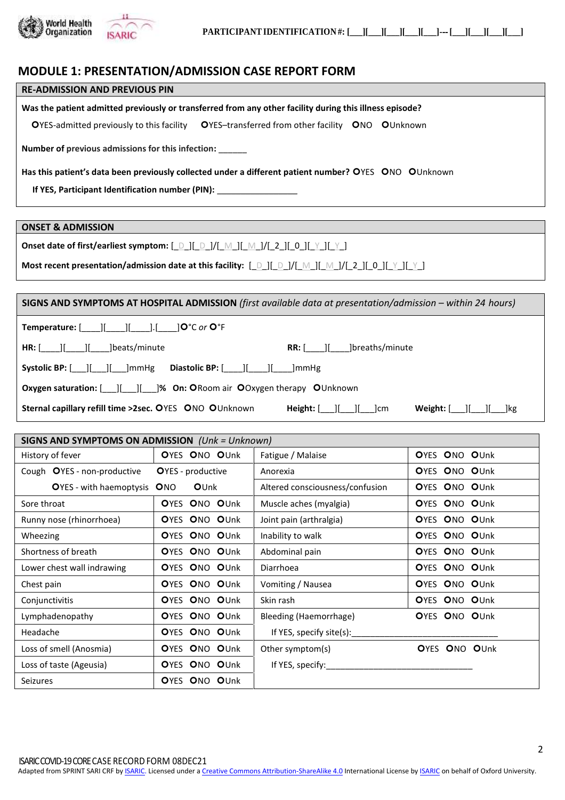

### **MODULE 1: PRESENTATION/ADMISSION CASE REPORT FORM**

#### **RE-ADMISSION AND PREVIOUS PIN**

**Was the patient admitted previously or transferred from any other facility during this illness episode?**

OYES-admitted previously to this facility OYES-transferred from other facility ONO OUnknown

**Number of previous admissions for this infection:** \_\_\_\_\_\_

Has this patient's data been previously collected under a different patient number? OYES ONO OUnknown

**If YES, Participant Identification number (PIN):** 

**ONSET & ADMISSION**

**Most recent presentation/admission date at this facility:**  $[\Box \Box] [ \Box \Box] / [ \Box \Box] [ \Box ] [ \Box ] [ \Box ] [ \Box ] [ \Box ] [ \Box ] [ \Box ] [ \Box ]$ 

**SIGNS AND SYMPTOMS AT HOSPITAL ADMISSION** *(first available data at presentation/admission – within 24 hours)*

**Temperature:** [\_\_\_\_][\_\_\_\_][\_\_\_\_].[\_\_\_\_]°C *or* °F

| $HR:$ $\begin{bmatrix} \end{bmatrix}$<br>lbeats/minute                        | lbreaths/minute<br>RR: I                                                                                                                                          |
|-------------------------------------------------------------------------------|-------------------------------------------------------------------------------------------------------------------------------------------------------------------|
|                                                                               |                                                                                                                                                                   |
| <b>Oxygen saturation:</b> [ ] [ ] [ ]% On: ORoom air OOxygen therapy OUnknown |                                                                                                                                                                   |
| <b>Sternal capillary refill time &gt;2sec. OYES ONO OUnknown</b>              | Weight: [ ] ] ] ] ]     kg<br><b>Height:</b> $\begin{bmatrix} 1 \\ 1 \end{bmatrix}$ $\begin{bmatrix} 1 \\ 1 \end{bmatrix}$ $\begin{bmatrix} 1 \\ 1 \end{bmatrix}$ |

| SIGNS AND SYMPTOMS ON ADMISSION $(Unk = Unknown)$ |                           |                                 |               |
|---------------------------------------------------|---------------------------|---------------------------------|---------------|
| History of fever                                  | OYES ONO OUnk             | Fatigue / Malaise               | OYES ONO OUnk |
| Cough OYES - non-productive                       | <b>O</b> YES - productive | Anorexia                        | OYES ONO OUnk |
| OYES - with haemoptysis ONO                       | OUnk                      | Altered consciousness/confusion | OYES ONO OUnk |
| Sore throat                                       | OYES ONO OUnk             | Muscle aches (myalgia)          | OYES ONO OUnk |
| Runny nose (rhinorrhoea)                          | OYES ONO OUnk             | Joint pain (arthralgia)         | OYES ONO OUnk |
| Wheezing                                          | OYES ONO OUnk             | Inability to walk               | OYES ONO OUnk |
| Shortness of breath                               | OYES ONO OUnk             | Abdominal pain                  | OYES ONO OUnk |
| Lower chest wall indrawing                        | OYES ONO OUnk             | Diarrhoea                       | OYES ONO OUnk |
| Chest pain                                        | OYES ONO OUnk             | Vomiting / Nausea               | OYES ONO OUnk |
| Conjunctivitis                                    | OYES ONO OUnk             | Skin rash                       | OYES ONO OUnk |
| Lymphadenopathy                                   | OYES ONO OUnk             | Bleeding (Haemorrhage)          | OYES ONO OUnk |
| Headache                                          | OYES ONO OUnk             | If YES, specify site(s):        |               |
| Loss of smell (Anosmia)                           | OYES ONO OUnk             | Other symptom(s)                | OYES ONO OUnk |
| Loss of taste (Ageusia)                           | OYES ONO OUnk             | If YES, specify:                |               |
| <b>Seizures</b>                                   | OYES ONO OUnk             |                                 |               |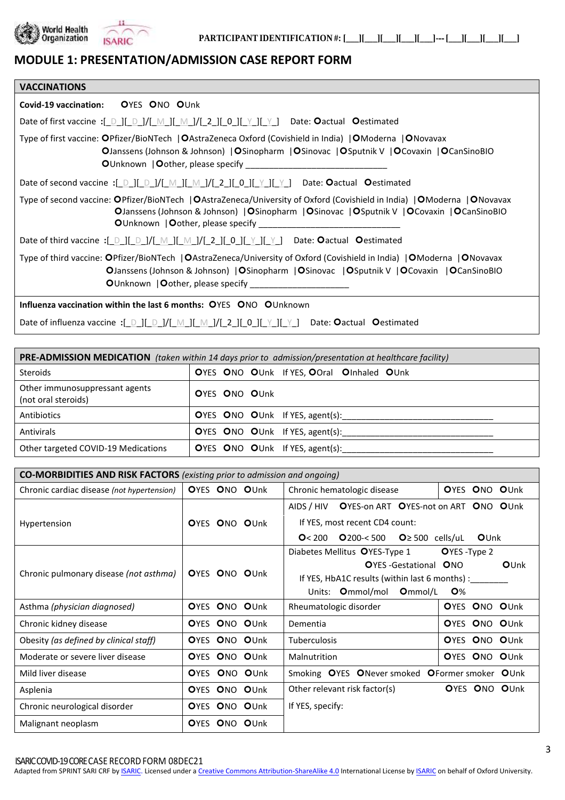

# **MODULE 1: PRESENTATION/ADMISSION CASE REPORT FORM**

| <b>VACCINATIONS</b>                                                                                                                                                                                                                                                                                                                                                                                                                                                     |
|-------------------------------------------------------------------------------------------------------------------------------------------------------------------------------------------------------------------------------------------------------------------------------------------------------------------------------------------------------------------------------------------------------------------------------------------------------------------------|
| Covid-19 vaccination: OYES ONO OUnk                                                                                                                                                                                                                                                                                                                                                                                                                                     |
| Date of first vaccine :[ D ][ D ]/[ M ][ M ]/[ 2 ][ 0 ][ Y ][ Y ] Date: Oactual Oestimated                                                                                                                                                                                                                                                                                                                                                                              |
| Type of first vaccine: OPfizer/BioNTech  OAstraZeneca Oxford (Covishield in India)  OModerna  ONovavax<br><b>OJanssens (Johnson &amp; Johnson)   OSinopharm   OSinovac   OSputnik V   OCovaxin   OCanSinoBIO</b>                                                                                                                                                                                                                                                        |
| Date of second vaccine :[_D_][_D_]/[_M_][_M_]/[_2_][_0_][_Y_][_Y_] Date: Oactual Oestimated                                                                                                                                                                                                                                                                                                                                                                             |
| Type of second vaccine: OPfizer/BioNTech  OAstraZeneca/University of Oxford (Covishield in India)  OModerna  ONovavax<br>OJanssens (Johnson & Johnson)   OSinopharm   OSinovac   OSputnik V   OCovaxin   OCanSinoBIO<br><b>O</b> Unknown   <b>O</b> other, please specify <b>Solution</b> Solution Solution Solution Solution Solution Solution Solution Solution Solution Solution Solution Solution Solution Solution Solution Solution Solution Solution Solution So |
| Date of third vaccine :[_D_][_D_]/[_M_][_M_]/[_2_][_0_][_Y_][_Y_] Date: Oactual Oestimated                                                                                                                                                                                                                                                                                                                                                                              |
| Type of third vaccine: OPfizer/BioNTech   OAstraZeneca/University of Oxford (Covishield in India)   OModerna   ONovavax<br><b>OJanssens (Johnson &amp; Johnson)   OSinopharm   OSinovac   OSputnik V   OCovaxin   OCanSinoBIO</b><br><b>O</b> Unknown   <b>O</b> other, please specify                                                                                                                                                                                  |
| <b>Influenza vaccination within the last 6 months: OYES ONO OUnknown</b>                                                                                                                                                                                                                                                                                                                                                                                                |

Date of influenza vaccine :[\_D\_][\_D\_]/[\_M\_][\_M\_]/[\_2\_][\_0\_][\_Y\_][\_Y\_] Date: **O**actual **O**estimated

| <b>PRE-ADMISSION MEDICATION</b> (taken within 14 days prior to admission/presentation at healthcare facility) |                                           |  |
|---------------------------------------------------------------------------------------------------------------|-------------------------------------------|--|
| <b>Steroids</b>                                                                                               | OYES ONO OUnk If YES, OOral OInhaled OUnk |  |
| Other immunosuppressant agents<br>(not oral steroids)                                                         | OYES ONO OUnk                             |  |
| Antibiotics                                                                                                   | OYES ONO OUnk If YES, agent(s):           |  |
| Antivirals                                                                                                    | OYES ONO OUnk If YES, agent(s):           |  |
| Other targeted COVID-19 Medications                                                                           | OYES ONO OUnk If YES, agent(s):           |  |

| <b>CO-MORBIDITIES AND RISK FACTORS</b> (existing prior to admission and ongoing) |               |                                                     |               |
|----------------------------------------------------------------------------------|---------------|-----------------------------------------------------|---------------|
| Chronic cardiac disease (not hypertension)                                       | OYES ONO OUnk | OYES ONO OUnk<br>Chronic hematologic disease        |               |
|                                                                                  |               | AIDS / HIV OYES-on ART OYES-not on ART ONO OUnk     |               |
| Hypertension                                                                     | OYES ONO OUnk | If YES, most recent CD4 count:                      |               |
|                                                                                  |               | $Q$ 200-< $500$<br>O < 200<br>$Q \geq 500$ cells/uL | OUnk          |
|                                                                                  |               | Diabetes Mellitus OYES-Type 1                       | OYES-Type 2   |
|                                                                                  |               | <b>O</b> YES-Gestational <b>ONO</b>                 | OUnk          |
| Chronic pulmonary disease (not asthma)                                           | OYES ONO OUnk | If YES, HbA1C results (within last 6 months) :      |               |
|                                                                                  |               | Units: Ommol/mol Ommol/L                            | <b>O</b> %    |
| Asthma (physician diagnosed)                                                     | OYES ONO OUnk | Rheumatologic disorder                              | OYES ONO OUnk |
| Chronic kidney disease                                                           | OYES ONO OUnk | Dementia                                            | OYES ONO OUnk |
| Obesity (as defined by clinical staff)                                           | OYES ONO OUnk | <b>Tuberculosis</b>                                 | OYES ONO OUnk |
| Moderate or severe liver disease                                                 | OYES ONO OUnk | Malnutrition                                        | OYES ONO OUnk |
| Mild liver disease                                                               | OYES ONO OUnk | Smoking OYES ONever smoked OFormer smoker OUnk      |               |
| Asplenia                                                                         | OYES ONO OUnk | Other relevant risk factor(s)                       | OYES ONO OUnk |
| Chronic neurological disorder                                                    | OYES ONO OUnk | If YES, specify:                                    |               |
| Malignant neoplasm                                                               | OYES ONO OUnk |                                                     |               |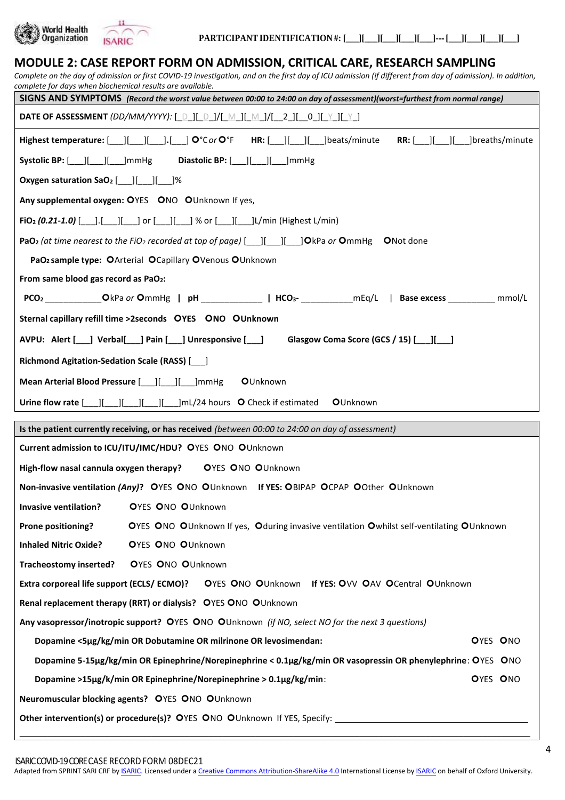

| <b>MODULE 2: CASE REPORT FORM ON ADMISSION, CRITICAL CARE, RESEARCH SAMPLING</b><br>Complete on the day of admission or first COVID-19 investigation, and on the first day of ICU admission (if different from day of admission). In addition,<br>complete for days when biochemical results are available.                                                                                                                                                                                                   |
|---------------------------------------------------------------------------------------------------------------------------------------------------------------------------------------------------------------------------------------------------------------------------------------------------------------------------------------------------------------------------------------------------------------------------------------------------------------------------------------------------------------|
| SIGNS AND SYMPTOMS (Record the worst value between 00:00 to 24:00 on day of assessment)(worst=furthest from normal range)                                                                                                                                                                                                                                                                                                                                                                                     |
| DATE OF ASSESSMENT (DD/MM/YYYY): [_D_][_D_]/[_M_][_M_]/[__2_][__0_][_Y_][_Y_]                                                                                                                                                                                                                                                                                                                                                                                                                                 |
| Highest temperature: $\begin{bmatrix} \begin{bmatrix} \begin{bmatrix} 1 & 1 \end{bmatrix} & \begin{bmatrix} 1 & 1 \end{bmatrix} & \mathbf{0}^{\circ}C \text{ or } \mathbf{O}^{\circ}F \end{bmatrix} \end{bmatrix}$ HR: $\begin{bmatrix} \begin{bmatrix} 1 & 1 \end{bmatrix} & \begin{bmatrix} 1 & 1 \end{bmatrix} & \begin{bmatrix} 1 & 1 \end{bmatrix} & \begin{bmatrix} 1 & 1 \end{bmatrix} & \begin{bmatrix} 1 & 1 \end{bmatrix} & \begin{bmatrix} 1 &$<br><b>RR:</b> [ ] [ ] ] ] ] ] ] ] ] breaths/minute |
| Systolic BP: [ ] [ ] ] ] ] ] ] ] ] ] ] ] mmHg Diastolic BP: [ ] [ ] ] [ ] ] mmHg                                                                                                                                                                                                                                                                                                                                                                                                                              |
| Oxygen saturation SaO <sub>2</sub> [ <i>___</i> ][ <i>___</i> ][ <i>___</i> ]%                                                                                                                                                                                                                                                                                                                                                                                                                                |
| Any supplemental oxygen: OYES ONO OUnknown If yes,                                                                                                                                                                                                                                                                                                                                                                                                                                                            |
| FiO <sub>2</sub> (0.21-1.0) [100]. [100] or [200] or [200] [200] [200] (0.21-1.0) [200] or [200] % or [200] [200] [200] [1                                                                                                                                                                                                                                                                                                                                                                                    |
| <b>PaO<sub>2</sub></b> (at time nearest to the FiO <sub>2</sub> recorded at top of page) $\begin{bmatrix} \quad \\ \quad \end{bmatrix}$ $\begin{bmatrix} \quad \\ \quad \end{bmatrix}$ <b>O</b> Ne <b>O</b> Not done                                                                                                                                                                                                                                                                                          |
| PaO <sub>2</sub> sample type: OArterial OCapillary OVenous OUnknown                                                                                                                                                                                                                                                                                                                                                                                                                                           |
| From same blood gas record as PaO <sub>2</sub> :                                                                                                                                                                                                                                                                                                                                                                                                                                                              |
| PCO <sub>2</sub> _____________OkPa or OmmHg   pH ______________  HCO <sub>3</sub> - ____________mEq/L   Base excess __________ mmol/L                                                                                                                                                                                                                                                                                                                                                                         |
| Sternal capillary refill time >2seconds OYES ONO OUnknown                                                                                                                                                                                                                                                                                                                                                                                                                                                     |
| AVPU: Alert [ ] Verbal [ ] Pain [ ] Unresponsive [ ]<br>Glasgow Coma Score (GCS / 15) [1616]                                                                                                                                                                                                                                                                                                                                                                                                                  |
| Richmond Agitation-Sedation Scale (RASS) [166]                                                                                                                                                                                                                                                                                                                                                                                                                                                                |
| OUnknown                                                                                                                                                                                                                                                                                                                                                                                                                                                                                                      |
| Urine flow rate [ <i>___</i> ][ <i>____</i> ][ <i>____</i> ][ <i>____</i> ][ <i>____</i> ]mL/24 hours O Check if estimated<br><b>O</b> Unknown                                                                                                                                                                                                                                                                                                                                                                |
| Is the patient currently receiving, or has received (between 00:00 to 24:00 on day of assessment)                                                                                                                                                                                                                                                                                                                                                                                                             |
| Current admission to ICU/ITU/IMC/HDU? OYES ONO OUnknown                                                                                                                                                                                                                                                                                                                                                                                                                                                       |
| High-flow nasal cannula oxygen therapy?<br><b>OYES ONO OUnknown</b>                                                                                                                                                                                                                                                                                                                                                                                                                                           |
| Non-invasive ventilation (Any)? OYES ONO OUnknown If YES: OBIPAP OCPAP OOther OUnknown                                                                                                                                                                                                                                                                                                                                                                                                                        |
| OYES ONO OUnknown<br><b>Invasive ventilation?</b>                                                                                                                                                                                                                                                                                                                                                                                                                                                             |
| Prone positioning?<br>OYES ONO OUnknown If yes, Oduring invasive ventilation Owhilst self-ventilating OUnknown                                                                                                                                                                                                                                                                                                                                                                                                |
| <b>OYES ONO OUnknown</b><br><b>Inhaled Nitric Oxide?</b>                                                                                                                                                                                                                                                                                                                                                                                                                                                      |
| Tracheostomy inserted?<br><b>OYES ONO OUnknown</b>                                                                                                                                                                                                                                                                                                                                                                                                                                                            |
| Extra corporeal life support (ECLS/ECMO)? OYES ONO OUnknown If YES: OVV OAV OCentral OUnknown                                                                                                                                                                                                                                                                                                                                                                                                                 |
| Renal replacement therapy (RRT) or dialysis? OYES ONO OUnknown                                                                                                                                                                                                                                                                                                                                                                                                                                                |
| Any vasopressor/inotropic support? OYES ONO OUnknown (if NO, select NO for the next 3 questions)                                                                                                                                                                                                                                                                                                                                                                                                              |
| Dopamine <5µg/kg/min OR Dobutamine OR milrinone OR levosimendan:<br>OYES ONO                                                                                                                                                                                                                                                                                                                                                                                                                                  |
| Dopamine 5-15µg/kg/min OR Epinephrine/Norepinephrine < 0.1µg/kg/min OR vasopressin OR phenylephrine: OYES ONO                                                                                                                                                                                                                                                                                                                                                                                                 |
| Dopamine >15µg/k/min OR Epinephrine/Norepinephrine > 0.1µg/kg/min:<br>OYES ONO                                                                                                                                                                                                                                                                                                                                                                                                                                |
| Neuromuscular blocking agents? OYES ONO OUnknown                                                                                                                                                                                                                                                                                                                                                                                                                                                              |
|                                                                                                                                                                                                                                                                                                                                                                                                                                                                                                               |

Adapted from SPRINT SARI CRF by **ISARIC**. Licensed under [a Creative Commons Attribution-ShareAlike 4.0](https://creativecommons.org/licenses/by-sa/4.0/) International License by **ISARIC** on behalf of Oxford University.

\_\_\_\_\_\_\_\_\_\_\_\_\_\_\_\_\_\_\_\_\_\_\_\_\_\_\_\_\_\_\_\_\_\_\_\_\_\_\_\_\_\_\_\_\_\_\_\_\_\_\_\_\_\_\_\_\_\_\_\_\_\_\_\_\_\_\_\_\_\_\_\_\_\_\_\_\_\_\_\_\_\_\_\_\_\_\_\_\_\_\_\_\_\_\_\_\_\_\_\_\_\_\_\_\_\_\_\_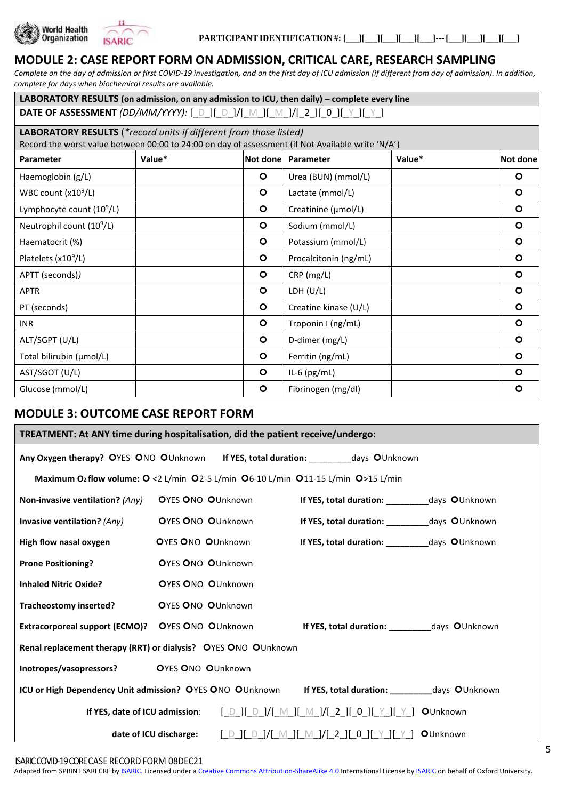



# **MODULE 2: CASE REPORT FORM ON ADMISSION, CRITICAL CARE, RESEARCH SAMPLING**

*Complete on the day of admission or first COVID-19 investigation, and on the first day of ICU admission (if different from day of admission). In addition, complete for days when biochemical results are available.*

| LABORATORY RESULTS (on admission, on any admission to ICU, then daily) - complete every line      |        |          |                       |        |          |
|---------------------------------------------------------------------------------------------------|--------|----------|-----------------------|--------|----------|
| DATE OF ASSESSMENT <i>(DD/MM/YYYY):</i> [_D_][_D_]/[_M_][_M_]/[_2_][_0_][_Y_][_Y_]                |        |          |                       |        |          |
| LABORATORY RESULTS (*record units if different from those listed)                                 |        |          |                       |        |          |
| Record the worst value between 00:00 to 24:00 on day of assessment (if Not Available write 'N/A') |        |          |                       |        |          |
| <b>Parameter</b>                                                                                  | Value* | Not done | Parameter             | Value* | Not done |
| Haemoglobin (g/L)                                                                                 |        | $\circ$  | Urea (BUN) (mmol/L)   |        | $\circ$  |
| WBC count $(x10^9/L)$                                                                             |        | $\circ$  | Lactate (mmol/L)      |        | $\circ$  |
| Lymphocyte count $(10^9/L)$                                                                       |        | $\circ$  | Creatinine (µmol/L)   |        | $\circ$  |
| Neutrophil count (10 <sup>9</sup> /L)                                                             |        | $\circ$  | Sodium (mmol/L)       |        | $\circ$  |
| Haematocrit (%)                                                                                   |        | $\circ$  | Potassium (mmol/L)    |        | $\circ$  |
| Platelets (x10 <sup>9</sup> /L)                                                                   |        | $\circ$  | Procalcitonin (ng/mL) |        | $\circ$  |
| APTT (seconds))                                                                                   |        | $\circ$  | CRP (mg/L)            |        | $\circ$  |
| <b>APTR</b>                                                                                       |        | $\circ$  | LDH (U/L)             |        | $\circ$  |
| PT (seconds)                                                                                      |        | $\circ$  | Creatine kinase (U/L) |        | $\circ$  |
| <b>INR</b>                                                                                        |        | $\circ$  | Troponin I (ng/mL)    |        | $\circ$  |
| ALT/SGPT (U/L)                                                                                    |        | $\circ$  | D-dimer (mg/L)        |        | $\circ$  |
| Total bilirubin (µmol/L)                                                                          |        | $\circ$  | Ferritin (ng/mL)      |        | $\circ$  |
| AST/SGOT (U/L)                                                                                    |        | $\circ$  | IL-6 $(pg/mL)$        |        | $\circ$  |
| Glucose (mmol/L)                                                                                  |        | $\circ$  | Fibrinogen (mg/dl)    |        | $\circ$  |

# **MODULE 3: OUTCOME CASE REPORT FORM**

| TREATMENT: At ANY time during hospitalisation, did the patient receive/undergo:                         |                          |  |                                                                                                                                                                                                                                                                                                                                                                  |                  |  |
|---------------------------------------------------------------------------------------------------------|--------------------------|--|------------------------------------------------------------------------------------------------------------------------------------------------------------------------------------------------------------------------------------------------------------------------------------------------------------------------------------------------------------------|------------------|--|
| Any Oxygen therapy? OYES ONO OUnknown If YES, total duration: ___________days OUnknown                  |                          |  |                                                                                                                                                                                                                                                                                                                                                                  |                  |  |
| Maximum O2 flow volume: O <2 L/min O2-5 L/min O6-10 L/min O11-15 L/min O>15 L/min                       |                          |  |                                                                                                                                                                                                                                                                                                                                                                  |                  |  |
| Non-invasive ventilation? (Any)                                                                         | <b>OYES ONO OUnknown</b> |  | If YES, total duration: ___________ days OUnknown                                                                                                                                                                                                                                                                                                                |                  |  |
| Invasive ventilation? (Any)                                                                             | <b>OYES ONO OUnknown</b> |  | If YES, total duration: ___________ days OUnknown                                                                                                                                                                                                                                                                                                                |                  |  |
| High flow nasal oxygen                                                                                  | <b>OYES ONO OUnknown</b> |  | If YES, total duration: ___________ days OUnknown                                                                                                                                                                                                                                                                                                                |                  |  |
| <b>Prone Positioning?</b>                                                                               | <b>OYES ONO OUnknown</b> |  |                                                                                                                                                                                                                                                                                                                                                                  |                  |  |
| <b>Inhaled Nitric Oxide?</b>                                                                            | <b>OYES ONO OUnknown</b> |  |                                                                                                                                                                                                                                                                                                                                                                  |                  |  |
| Tracheostomy inserted?                                                                                  | <b>OYES ONO OUnknown</b> |  |                                                                                                                                                                                                                                                                                                                                                                  |                  |  |
| Extracorporeal support (ECMO)?  OYES ONO OUnknown                                                       |                          |  | If YES, total duration: ___________ days OUnknown                                                                                                                                                                                                                                                                                                                |                  |  |
| Renal replacement therapy (RRT) or dialysis? OYES ONO OUnknown                                          |                          |  |                                                                                                                                                                                                                                                                                                                                                                  |                  |  |
| Inotropes/vasopressors? OYES ONO OUnknown                                                               |                          |  |                                                                                                                                                                                                                                                                                                                                                                  |                  |  |
| ICU or High Dependency Unit admission? OYES ONO OUnknown If YES, total duration: ________ days OUnknown |                          |  |                                                                                                                                                                                                                                                                                                                                                                  |                  |  |
|                                                                                                         |                          |  |                                                                                                                                                                                                                                                                                                                                                                  | <b>O</b> Unknown |  |
|                                                                                                         | date of ICU discharge:   |  | $\begin{array}{c} \begin{bmatrix} \Box \Box \end{bmatrix} \begin{bmatrix} \Box \Box \end{bmatrix} / \begin{bmatrix} \Box \Box \end{bmatrix} \begin{bmatrix} \Box \Box \end{bmatrix} \begin{bmatrix} \Box \Box \end{bmatrix} \begin{bmatrix} \Box \Box \end{bmatrix} \begin{bmatrix} \Box \Box \end{bmatrix} \begin{bmatrix} \Box \Box \end{bmatrix} \end{array}$ | <b>O</b> Unknown |  |

Adapted from SPRINT SARI CRF by **ISARIC**. Licensed under [a Creative Commons Attribution-ShareAlike 4.0](https://creativecommons.org/licenses/by-sa/4.0/) International License by **ISARIC** on behalf of Oxford University.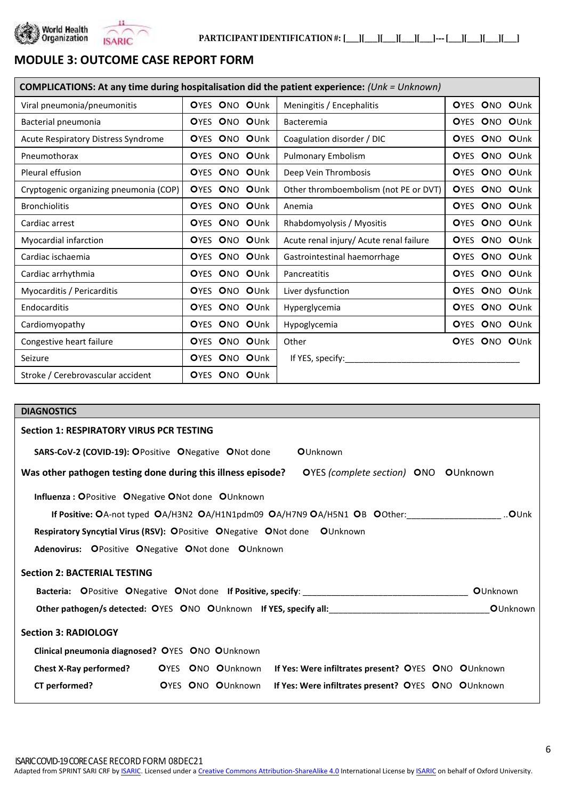



# **MODULE 3: OUTCOME CASE REPORT FORM**

| <b>COMPLICATIONS:</b> At any time during hospitalisation did the patient experience: $(Unk = Unknown)$ |                          |                                         |               |
|--------------------------------------------------------------------------------------------------------|--------------------------|-----------------------------------------|---------------|
| Viral pneumonia/pneumonitis                                                                            | OYES ONO OUnk            | Meningitis / Encephalitis               | OYES ONO OUnk |
| Bacterial pneumonia                                                                                    | OYES ONO OUnk            | Bacteremia                              | OYES ONO OUnk |
| Acute Respiratory Distress Syndrome                                                                    | ONO OUnk<br><b>O</b> YES | Coagulation disorder / DIC              | OYES ONO OUnk |
| Pneumothorax                                                                                           | ONO OUnk<br><b>O</b> YES | Pulmonary Embolism                      | OYES ONO OUnk |
| Pleural effusion                                                                                       | ONO OUnk<br><b>O</b> YES | Deep Vein Thrombosis                    | OYES ONO OUnk |
| Cryptogenic organizing pneumonia (COP)                                                                 | ONO OUnk<br><b>O</b> YES | Other thromboembolism (not PE or DVT)   | OYES ONO OUnk |
| <b>Bronchiolitis</b>                                                                                   | OYES ONO OUnk            | Anemia                                  | OYES ONO OUnk |
| Cardiac arrest                                                                                         | OYES ONO OUnk            | Rhabdomyolysis / Myositis               | OYES ONO OUnk |
| Myocardial infarction                                                                                  | OYES ONO OUnk            | Acute renal injury/ Acute renal failure | OYES ONO OUnk |
| Cardiac ischaemia                                                                                      | ONO OUnk<br><b>O</b> YES | Gastrointestinal haemorrhage            | OYES ONO OUnk |
| Cardiac arrhythmia                                                                                     | OYES ONO OUnk            | Pancreatitis                            | OYES ONO OUnk |
| Myocarditis / Pericarditis                                                                             | OYES ONO OUnk            | Liver dysfunction                       | OYES ONO OUnk |
| Endocarditis                                                                                           | ONO OUnk<br><b>O</b> YES | Hyperglycemia                           | OYES ONO OUnk |
| Cardiomyopathy                                                                                         | ONO OUnk<br><b>O</b> YES | Hypoglycemia                            | OYES ONO OUnk |
| Congestive heart failure                                                                               | ONO OUnk<br><b>O</b> YES | Other                                   | OYES ONO OUnk |
| Seizure                                                                                                | ONO OUnk<br><b>O</b> YES | If YES, specify:                        |               |
| Stroke / Cerebrovascular accident                                                                      | ONO OUnk<br><b>O</b> YES |                                         |               |

| <b>DIAGNOSTICS</b>                                                                                   |
|------------------------------------------------------------------------------------------------------|
| <b>Section 1: RESPIRATORY VIRUS PCR TESTING</b>                                                      |
| OUnknown<br><b>SARS-CoV-2 (COVID-19): OPositive ONegative ONot done</b>                              |
| Was other pathogen testing done during this illness episode?<br>OYES (complete section) ONO OUnknown |
| <b>Influenza: OPositive ONegative ONot done OUnknown</b>                                             |
| If Positive: OA-not typed OA/H3N2 OA/H1N1pdm09 OA/H7N9 OA/H5N1 OB OOther:<br>…O∪nk                   |
| Respiratory Syncytial Virus (RSV): OPositive ONegative ONot done OUnknown                            |
| Adenovirus: OPositive ONegative ONot done OUnknown                                                   |
| <b>Section 2: BACTERIAL TESTING</b>                                                                  |
| <b>O</b> Unknown                                                                                     |
| <b>O</b> Unknown                                                                                     |
| <b>Section 3: RADIOLOGY</b>                                                                          |
| Clinical pneumonia diagnosed? OYES ONO OUnknown                                                      |
| Chest X-Ray performed? OYES ONO OUnknown If Yes: Were infiltrates present? OYES ONO OUnknown         |
| CT performed?<br><b>O</b> YES ONO OUnknown<br>If Yes: Were infiltrates present? OYES ONO OUnknown    |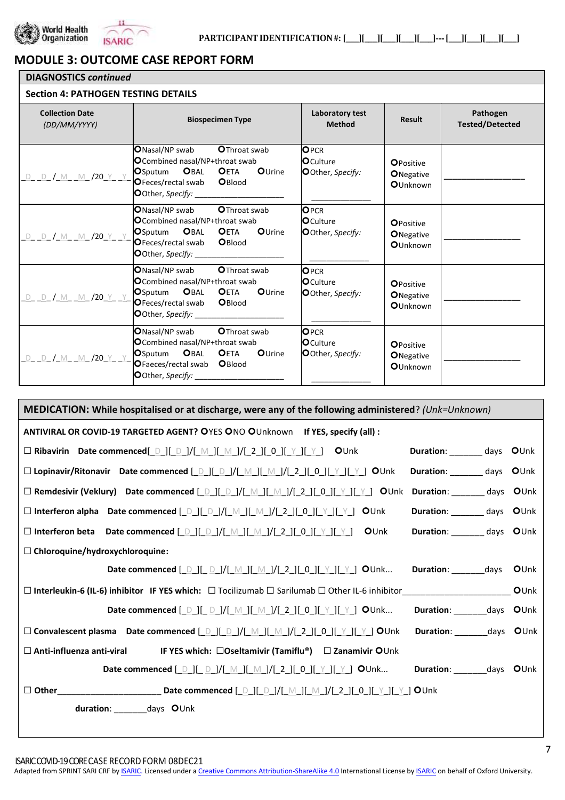



# **MODULE 3: OUTCOME CASE REPORT FORM**

#### **DIAGNOSTICS** *continued* **Section 4: PATHOGEN TESTING DETAILS Collection Date** *(DD/MM/YYYY)* **Biospecimen Type Laboratory test Method Result Pathogen Tested/Detected** <u>d\_ d\_/ m\_ m\_/20\_y\_ y</u> ONasal/NP swab OThroat swab **O**Combined nasal/NP+throat swab<br>OSputum OBAL OETA OUrine **OSputum OBAL OETA**<br>**OFeces/rectal swab OBlood** OFeces/rectal swab OOther, Specify: OPCR **O**Culture Other, *Specify:*  $\overline{\phantom{a}}$  , where  $\overline{\phantom{a}}$ **OPositive O**Negative **O**Unknown **\_\_\_\_\_\_\_\_\_\_\_\_\_\_\_\_\_\_** \_D\_ \_D\_ /\_M\_ \_M\_ /20\_Y\_ \_Y\_ ONasal/NP swab OThroat swab Combined nasal/NP+throat swab OSputum OBAL OETA OUrine OFeces/rectal swab OBlood OOther, Specify: OPCR **O**Culture Other, *Specify:*  $\mathcal{L}_\text{max}$  . The contract of the contract of the contract of the contract of the contract of the contract of the contract of the contract of the contract of the contract of the contract of the contract of the contract **OPositive O**Negative **O**Unknown **\_\_\_\_\_\_\_\_\_\_\_\_\_\_\_\_\_**  $D$   $D$  / M  $M$  /20 Y Y ONasal/NP swab OThroat swab **O**Combined nasal/NP+throat swab<br>OSputum OBAL OETA OUrine **OSputum OBAL OETA**<br>**OFeces/rectal swab OBlood** OFeces/rectal swab OOther, Specify: OPCR **O**Culture Other, *Specify:*  $\overline{\phantom{a}}$ **OPositive O**Negative **O**Unknown **\_\_\_\_\_\_\_\_\_\_\_\_\_\_\_\_\_** D D / M M /20 Y Y ONasal/NP swab OThroat swab **O**Combined nasal/NP+throat swab<br>OSputum OBAL OETA OUrine OSputum OBAL OETA<br>OFaeces/rectal swab OBlood OFaeces/rectal swab OOther, Specify: **OPCR O**Culture Other, *Specify:*  $\overline{\phantom{a}}$ **OPositive O**Negative **O**Unknown **\_\_\_\_\_\_\_\_\_\_\_\_\_\_\_\_\_**

| MEDICATION: While hospitalised or at discharge, were any of the following administered? (Unk=Unknown)                                                                                                                                                                                                                                                                                                                                                                                                                |                               |      |  |
|----------------------------------------------------------------------------------------------------------------------------------------------------------------------------------------------------------------------------------------------------------------------------------------------------------------------------------------------------------------------------------------------------------------------------------------------------------------------------------------------------------------------|-------------------------------|------|--|
| ANTIVIRAL OR COVID-19 TARGETED AGENT? OYES ONO OUnknown If YES, specify (all) :                                                                                                                                                                                                                                                                                                                                                                                                                                      |                               |      |  |
|                                                                                                                                                                                                                                                                                                                                                                                                                                                                                                                      | Duration: ________ days OUnk  |      |  |
| □ Lopinavir/Ritonavir Date commenced [Deller   Meller Meller   Meller   Meller   Meller   Meller   OUnk                                                                                                                                                                                                                                                                                                                                                                                                              | Duration: _________ days OUnk |      |  |
| $\square$ Remdesivir (Veklury) Date commenced $\square \square \square \square / \square \wedge \square / \square \square / \square \square \square \square \square \square \square \square \square \square$ OUnk Duration: _______ days OUnk                                                                                                                                                                                                                                                                        |                               |      |  |
|                                                                                                                                                                                                                                                                                                                                                                                                                                                                                                                      | Duration: ________ days OUnk  |      |  |
| OUnk                                                                                                                                                                                                                                                                                                                                                                                                                                                                                                                 | Duration: ________ days OUnk  |      |  |
| $\Box$ Chloroquine/hydroxychloroquine:                                                                                                                                                                                                                                                                                                                                                                                                                                                                               |                               |      |  |
| Date commenced $[\_ \_ ]\_ [\_ \_ ]/[\_ \_ ]/[\_ \_ ]/[\_ \_ ]/[\_ 2]\_ [\_ 0][\_ \_ ][\_ \_ ]$ OUnk Duration: ____________days OUnk                                                                                                                                                                                                                                                                                                                                                                                 |                               |      |  |
|                                                                                                                                                                                                                                                                                                                                                                                                                                                                                                                      |                               | OUnk |  |
| Date commenced $[\begin{array}{c} \Box \end{array}]/[\begin{array}{c} \Box \end{array}]/[\begin{array}{c} \Box \end{array}]/[\begin{array}{c} \Box \end{array}]/[\begin{array}{c} \Box \end{array}][\begin{array}{c} \Box \end{array}][\begin{array}{c} \Box \end{array}][\begin{array}{c} \Box \end{array}][\begin{array}{c} \Box \end{array}][\begin{array}{c} \Box \end{array}][\begin{array}{c} \Box \end{array}][\begin{array}{c} \Box \end{array}][\begin{array}{c} \Box \end{array}][\begin{array}{c} \Box \$ | Duration: ________ days OUnk  |      |  |
|                                                                                                                                                                                                                                                                                                                                                                                                                                                                                                                      | Duration: ________ days OUnk  |      |  |
| $\square$ Anti-influenza anti-viral<br>IF YES which: □Oseltamivir (Tamiflu®) □ Zanamivir OUnk                                                                                                                                                                                                                                                                                                                                                                                                                        |                               |      |  |
| Date commenced $[\_ \_ ][\_ \_ ]/[\_ \_ ][\_ \_ ]/[\_ \_ ]/[\_ 2_ ][0_ ]]$ $[\_ \_ ]$ $[\_ \_ ]$ OUnk Duration: _________days OUnk                                                                                                                                                                                                                                                                                                                                                                                   |                               |      |  |
|                                                                                                                                                                                                                                                                                                                                                                                                                                                                                                                      |                               |      |  |
| duration: days OUnk                                                                                                                                                                                                                                                                                                                                                                                                                                                                                                  |                               |      |  |
|                                                                                                                                                                                                                                                                                                                                                                                                                                                                                                                      |                               |      |  |

Adapted from SPRINT SARI CRF by **ISARIC**. Licensed under [a Creative Commons Attribution-ShareAlike 4.0](https://creativecommons.org/licenses/by-sa/4.0/) International License b[y ISARIC](https://isaric.tghn.org/) on behalf of Oxford University.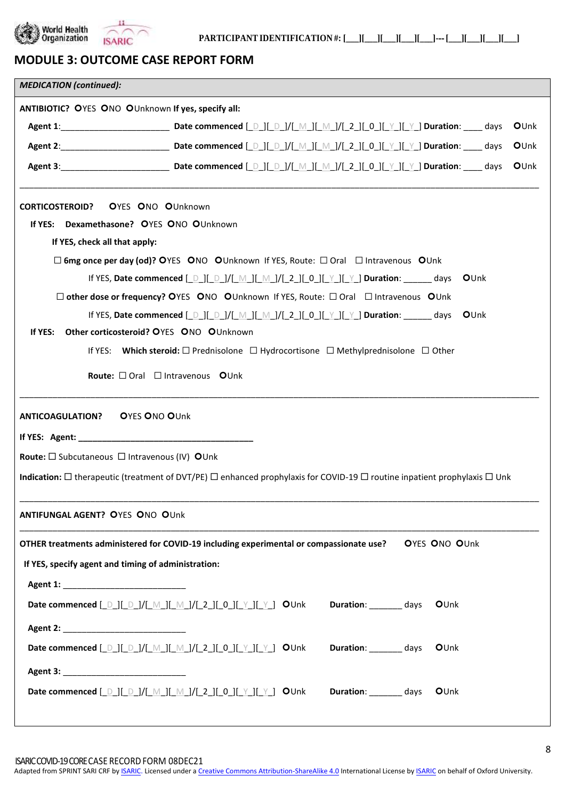



**PARTICIPANTIDENTIFICATION #: [\_\_\_][\_\_\_][\_\_\_][\_\_\_][\_\_\_]-‐ [\_\_\_][\_\_\_][\_\_\_][\_\_\_]**

# **MODULE 3: OUTCOME CASE REPORT FORM**

| <b>MEDICATION</b> (continued):                                                                                                                                                                                                 |  |
|--------------------------------------------------------------------------------------------------------------------------------------------------------------------------------------------------------------------------------|--|
| ANTIBIOTIC? OYES ONO OUnknown If yes, specify all:                                                                                                                                                                             |  |
| OUnk                                                                                                                                                                                                                           |  |
| OUnk                                                                                                                                                                                                                           |  |
| OUnk                                                                                                                                                                                                                           |  |
| <b>CORTICOSTEROID?</b><br><b>OYES ONO OUnknown</b>                                                                                                                                                                             |  |
| If YES: Dexamethasone? OYES ONO OUnknown                                                                                                                                                                                       |  |
| If YES, check all that apply:                                                                                                                                                                                                  |  |
| $\square$ 6mg once per day (od)? OYES ONO OUnknown If YES, Route: $\square$ Oral $\square$ Intravenous OUnk                                                                                                                    |  |
| If YES, Date commenced $[\_ \_ ]([\_ \_ ]/[\_ \_ ]]$ $[\_ \_ ]/[\_ \_ ]/[\_ 2_ ][0_ ]/[\_ \_ ]$ Duration: ______ days<br>OUnk                                                                                                  |  |
| $\square$ other dose or frequency? OYES ONO OUnknown If YES, Route: $\square$ Oral $\square$ Intravenous OUnk                                                                                                                  |  |
| If YES, Date commenced [ D ][ D ]/[ M ][ M ]/[ 2 ][ 0 ][ Y ][ Y ] Duration: _____ days<br>OUnk                                                                                                                                 |  |
| Other corticosteroid? OYES ONO OUnknown<br>If YES:                                                                                                                                                                             |  |
| If YES: Which steroid: $\square$ Prednisolone $\square$ Hydrocortisone $\square$ Methylprednisolone $\square$ Other                                                                                                            |  |
| Route: □ Oral □ Intravenous OUnk                                                                                                                                                                                               |  |
| <b>ANTICOAGULATION? OYES ONO OUnk</b>                                                                                                                                                                                          |  |
|                                                                                                                                                                                                                                |  |
| Route: $\square$ Subcutaneous $\square$ Intravenous (IV) OUnk                                                                                                                                                                  |  |
| Indication: $\Box$ therapeutic (treatment of DVT/PE) $\Box$ enhanced prophylaxis for COVID-19 $\Box$ routine inpatient prophylaxis $\Box$ Unk                                                                                  |  |
| ANTIFUNGAL AGENT? OYES ONO OUnk                                                                                                                                                                                                |  |
| OTHER treatments administered for COVID-19 including experimental or compassionate use?<br><b>OYES ONO OUnk</b>                                                                                                                |  |
| If YES, specify agent and timing of administration:                                                                                                                                                                            |  |
|                                                                                                                                                                                                                                |  |
| Date commenced [Del] [Del] / [Mel] [Mel] / [2el] [Oel] [Lelye ] [Dunk Duration: commenced [Del] [Del] / [Mel] / [2el] [Oul] [Nell 2000   Dunk Duration: commenced [Del] / [Del] / [Mel] [Del] [Del] [Nell 2000   [Nell 2000] 2 |  |
|                                                                                                                                                                                                                                |  |
| Date commenced [_D_][_D_]/[_M_][_M_]/[_2_][_0_][_Y_][_Y_] OUnk<br>Duration: _________ days<br>OUnk                                                                                                                             |  |
|                                                                                                                                                                                                                                |  |
| Date commenced [ D ][ D ]/[ M ][ M ]/[ 2 ][ 0 ][ Y ][ Y ] OUnk<br>Duration: ________ days<br>OUnk                                                                                                                              |  |
|                                                                                                                                                                                                                                |  |

Adapted from SPRINT SARI CRF by **ISARIC**. Licensed under [a Creative Commons Attribution-ShareAlike 4.0](https://creativecommons.org/licenses/by-sa/4.0/) International License by **ISARIC** on behalf of Oxford University.